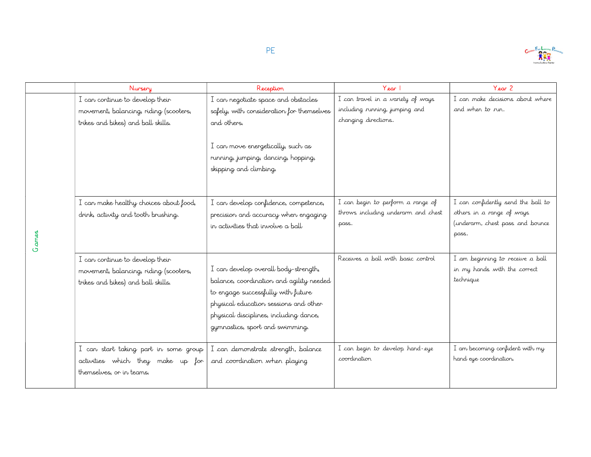

|       | Nursery                                                                                                         | Reception                                                                                                                                                                                                                                    | Year 1                                                                                      | $Year$ 2                                                                                                     |
|-------|-----------------------------------------------------------------------------------------------------------------|----------------------------------------------------------------------------------------------------------------------------------------------------------------------------------------------------------------------------------------------|---------------------------------------------------------------------------------------------|--------------------------------------------------------------------------------------------------------------|
|       | I can continue to develop their<br>movement, balancing, riding (scooters,<br>trikes and bikes) and ball skills. | I can negotiate space and obstacles<br>safely, with consideration for themselves<br>and others.<br>I can move energetically, such as<br>running, jumping, dancing, hopping,                                                                  | I can travel in a variety of ways<br>including running, jumping and<br>changing directions. | I can make decisions about where<br>and when to run.                                                         |
| Games | I can make healthy choices about food,<br>drink, activity and tooth brushing.                                   | skipping and climbing.<br>I can develop confidence, competence,<br>precision and accuracy when engaging<br>in activities that involve a ball                                                                                                 | I can begin to perform a range of<br>throws including underarm and chest<br>pass.           | I can confidently send the ball to<br>others in a range of ways<br>(underarm, chest pass and bounce<br>pass. |
|       | I can continue to develop their<br>movement, balancing, riding (scooters,<br>trikes and bikes) and ball skills. | I can develop overall body-strength,<br>balance, coordination and agility needed<br>to engage successfully with future<br>physical education sessions and other<br>physical disciplines, including dance,<br>gymnastics, sport and swimming. | Receives a ball with basic control                                                          | I am beginning to receive a ball<br>in my hands with the correct<br>technique                                |
|       | I can start taking part in some group<br>activities which they make up for<br>themselves, or in teams.          | I can demonstrate strength, balance<br>and coordination when playing                                                                                                                                                                         | I can begin to develop hand-eye<br>coordination                                             | I am becoming confident with my<br>hand eye coordination.                                                    |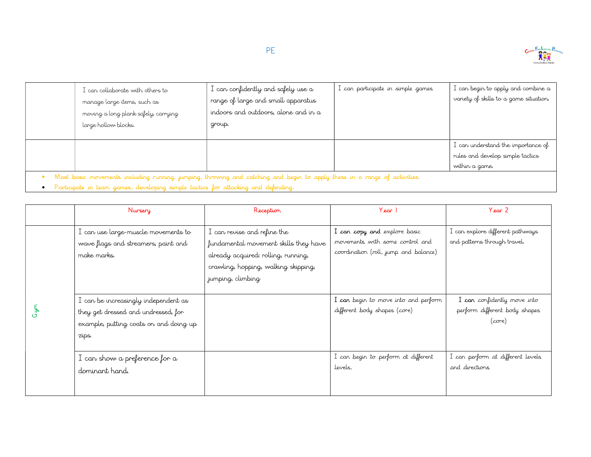

| I can collaborate with others to<br>manage large items, such as<br>moving a long plank safely, carrying<br>large hollow blocks. | I can confidently and safely use a<br>range of large and small apparatus<br>indoors and outdoors, alone and in a<br>group. | I can participate in simple games | I can begin to apply and combine a<br>variety of skills to a game situation.               |
|---------------------------------------------------------------------------------------------------------------------------------|----------------------------------------------------------------------------------------------------------------------------|-----------------------------------|--------------------------------------------------------------------------------------------|
|                                                                                                                                 |                                                                                                                            |                                   | $I$ can understand the importance of<br>rules and develop simple tactics<br>within a game. |
| Mast basic movements including running, jumping, throwing and catching and begin to apply these in a range of activities.       |                                                                                                                            |                                   |                                                                                            |

• Participate in team games, developing simple tactics for attacking and defending.

|          | Nursery                                                                                                                        | Reception                                                                                                                                                                | Year 1                                                                                                   | Y <sub>ear</sub> 2                                                              |
|----------|--------------------------------------------------------------------------------------------------------------------------------|--------------------------------------------------------------------------------------------------------------------------------------------------------------------------|----------------------------------------------------------------------------------------------------------|---------------------------------------------------------------------------------|
|          | I can use large-muscle movements to<br>wave flags and streamers, paint and<br>make marks.                                      | I can revise and refine the<br>fundamental movement skills they have<br>already acquired: rolling, running,<br>crawling, hopping, walking skipping,<br>jumping, climbing | I can copy and explore basic<br>movements with some control and<br>coordination (roll, jump and balance) | I can explore different pathways<br>and patterns through travel.                |
| س<br>مهر | I can be increasingly independent as<br>they get dressed and undressed, for<br>example, putting coats on and doing up<br>zips. |                                                                                                                                                                          | I can begin to move into and perform<br>different body shapes (core)                                     | I can confidently move into<br>perform different body shapes<br>$(\text{core})$ |
|          | I can show a preference for a<br>dominant hand.                                                                                |                                                                                                                                                                          | I can begin to perform at different<br>Jevels.                                                           | I can perform at different levels<br>and directions                             |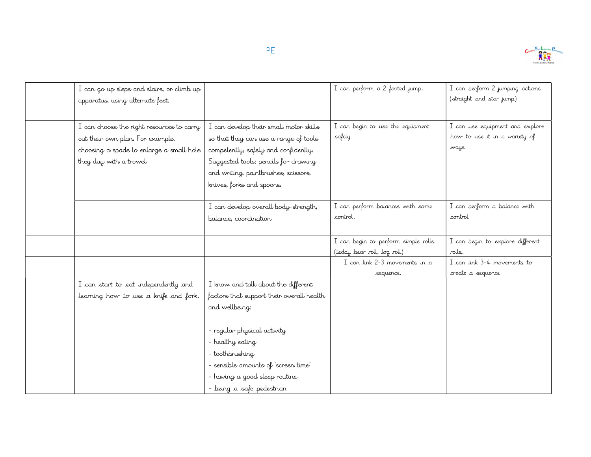

| I can go up steps and stairs, or climb up<br>apparatus, using alternate feet.                                                                       |                                                                                                                                                                                                                                                                               | I can perform a 2 footed jump.                                     | I can perform 2 jumping actions<br>(straight and star jump)              |
|-----------------------------------------------------------------------------------------------------------------------------------------------------|-------------------------------------------------------------------------------------------------------------------------------------------------------------------------------------------------------------------------------------------------------------------------------|--------------------------------------------------------------------|--------------------------------------------------------------------------|
| I can choose the right resources to carry<br>out their own plan. For example,<br>choosing a spade to enlarge a small hole<br>they dug with a trowel | I can develop their small motor skills<br>so that they can use a range of tools<br>competently, safely and confidently.<br>Suggested tools: pencils for drawing<br>and writing, paintbrushes, scissors,<br>knives, forks and spoons.                                          | I can begin to use the equipment<br>safely                         | I can use equipment and explore<br>how to use it in a variety of<br>ways |
|                                                                                                                                                     | I can develop overall body-strength,<br>balance, coordination                                                                                                                                                                                                                 | I can perform balances with some<br>control.                       | I can perform a balance with<br>control                                  |
|                                                                                                                                                     |                                                                                                                                                                                                                                                                               | I can begin to perform simple rolls<br>(teddy bear roll, log roll) | I can begin to explore different<br>rolls.                               |
|                                                                                                                                                     |                                                                                                                                                                                                                                                                               | I can link 2-3 movements in a<br>sequence.                         | I can link 3-4 movements to<br>create a sequence                         |
| I can start to eat independently and<br>learning how to use a knife and fork.                                                                       | I know and talk about the different<br>factors that support their overall health<br>and wellbeing:<br>- regular physical activity<br>- healthy eating<br>- toothbrushing<br>- sensible amounts of 'screen time'<br>- having a good sleep routine<br>- being a safe pedestrian |                                                                    |                                                                          |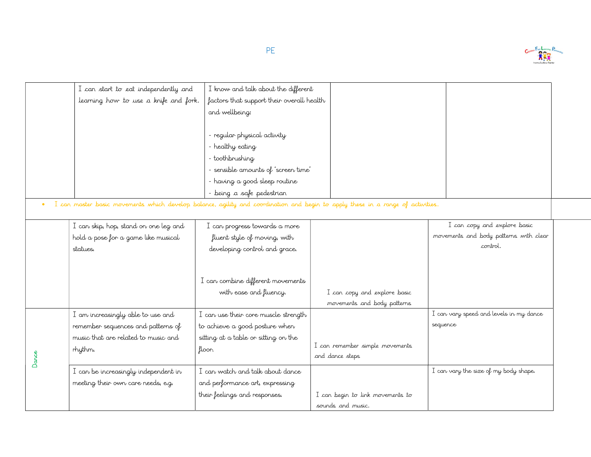

| I can start to eat independently and                                                                                            | I know and talk about the different       |                                                             |                                         |
|---------------------------------------------------------------------------------------------------------------------------------|-------------------------------------------|-------------------------------------------------------------|-----------------------------------------|
| learning how to use a knife and fork.                                                                                           | factors that support their overall health |                                                             |                                         |
|                                                                                                                                 | and wellbeing:                            |                                                             |                                         |
|                                                                                                                                 | - regular physical activity               |                                                             |                                         |
|                                                                                                                                 | - healthy eating                          |                                                             |                                         |
|                                                                                                                                 | - toothbrushing                           |                                                             |                                         |
|                                                                                                                                 | - sensible amounts of 'screen time'       |                                                             |                                         |
|                                                                                                                                 | - having a good sleep routine             |                                                             |                                         |
|                                                                                                                                 | - being a safe pedestrian                 |                                                             |                                         |
| I can master basic movements which develop balance, agility and coordination and begin to apply these in a range of activities. |                                           |                                                             |                                         |
|                                                                                                                                 |                                           |                                                             |                                         |
| I can skip, hop, stand on one leg and                                                                                           | I can progress towards a more             |                                                             | I can copy and explore basic            |
| hold a pose for a game like musical                                                                                             | fluent style of moving, with              |                                                             | movements and body patterns with clear  |
| statues.                                                                                                                        | developing control and grace.             |                                                             | control.                                |
|                                                                                                                                 |                                           |                                                             |                                         |
|                                                                                                                                 | I can combine different movements         |                                                             |                                         |
|                                                                                                                                 |                                           |                                                             |                                         |
|                                                                                                                                 | with ease and fluency.                    | I can copy and explore basic<br>movements and body patterns |                                         |
| I am increasingly able to use and                                                                                               | I can use their core muscle strength      |                                                             | I can vary speed and levels in my dance |
| remember sequences and patterns of                                                                                              | to achieve a good posture when            |                                                             | sequence                                |
| music that are related to music and                                                                                             | sitting at a table or sitting on the      |                                                             |                                         |
| rhythm.                                                                                                                         | floor.                                    | I can remember simple movements                             |                                         |
|                                                                                                                                 |                                           | and dance steps                                             |                                         |
| I can be increasingly independent in                                                                                            | I can watch and talk about dance          |                                                             | I can vary the size of my body shape.   |
| meeting their own care needs, e.g.                                                                                              | and performance art, expressing           |                                                             |                                         |
|                                                                                                                                 | their feelings and responses.             | I can begin to link movements to                            |                                         |
|                                                                                                                                 |                                           |                                                             |                                         |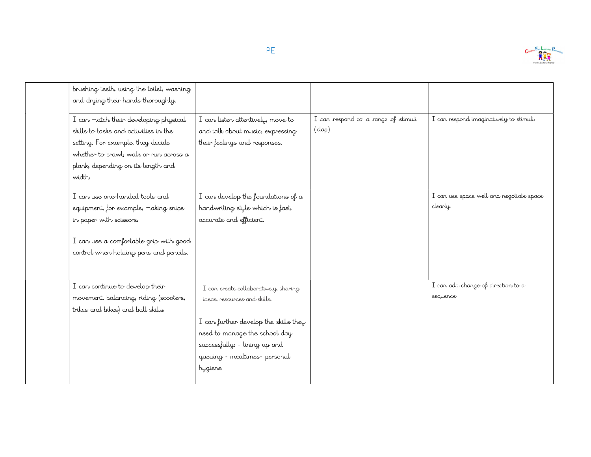

| brushing teeth, using the toilet, washing                                                                                                                                                                     |                                                                                                                                                                                                                              |                                               |                                                      |
|---------------------------------------------------------------------------------------------------------------------------------------------------------------------------------------------------------------|------------------------------------------------------------------------------------------------------------------------------------------------------------------------------------------------------------------------------|-----------------------------------------------|------------------------------------------------------|
| and drying their hands thoroughly.                                                                                                                                                                            |                                                                                                                                                                                                                              |                                               |                                                      |
| I can match their developing physical<br>skills to tasks and activities in the<br>setting. For example, they decide<br>whether to crawl, walk or run across a<br>plank, depending on its length and<br>width. | I can listen attentively, move to<br>and talk about music, expressing<br>their feelings and responses.                                                                                                                       | I can respond to a range of stimuli<br>(clap) | I can respond imaginatively to stimuli.              |
| I can use one-handed tools and<br>equipment, for example, making snips<br>in paper with scissors.<br>I can use a comfortable grip with good<br>control when holding pens and pencils.                         | I can develop the foundations of $\alpha$<br>handwriting style which is fast,<br>accurate and efficient.                                                                                                                     |                                               | I can use space well and negotiate space<br>clearly. |
| I can continue to develop their<br>movement, balancing, riding (scooters,<br>trikes and bikes) and ball skills.                                                                                               | I can create collaboratively, sharing<br>ideas, resources and skills.<br>I can further develop the skills they<br>need to manage the school day<br>successfully: - lining up and<br>queuing - mealtimes- personal<br>hygiene |                                               | I can add change of direction to a<br>sequence       |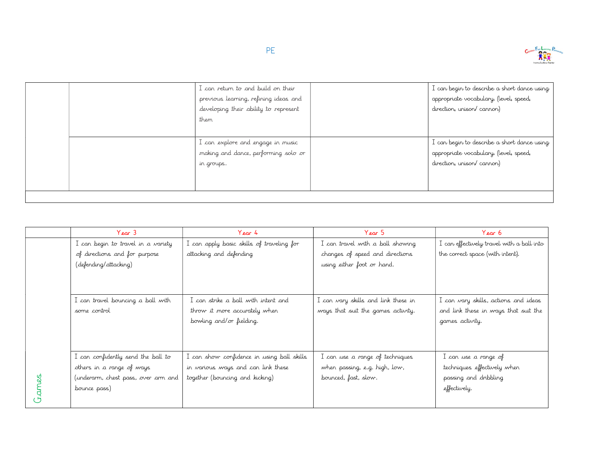

| I can return to and build on their<br>previous learning, refining ideas and<br>developing their ability to represent<br>them | I can begin to describe a short dance using<br>appropriate vocabulary. (level, speed,<br>direction, unison/cannon) |
|------------------------------------------------------------------------------------------------------------------------------|--------------------------------------------------------------------------------------------------------------------|
| I can explore and engage in music<br>making and dance, performing solo or<br>in groups.                                      | I can begin to describe a short dance using<br>appropriate vocabulary. (level, speed,<br>direction, unison/cannon) |

| I can begin to travel in a variety<br>I can apply basic skills of traveling for<br>I can travel with a ball showing<br>I can effectively travel with a ball into<br>attacking and defending<br>the correct space (with intent).<br>of directions and for purpose<br>changes of speed and directions<br>(defending/attacking)<br>using either foot or hand.<br>I can strike a ball with intent and<br>I can travel bouncing a ball with<br>I can vary skills and link these in<br>I can vary skills, actions and ideas<br>ways that suit the games activity.<br>and link these in ways that suit the<br>throw it more accurately when<br>some control<br>bowling and/or fielding.<br>games activity. |  |
|-----------------------------------------------------------------------------------------------------------------------------------------------------------------------------------------------------------------------------------------------------------------------------------------------------------------------------------------------------------------------------------------------------------------------------------------------------------------------------------------------------------------------------------------------------------------------------------------------------------------------------------------------------------------------------------------------------|--|
|                                                                                                                                                                                                                                                                                                                                                                                                                                                                                                                                                                                                                                                                                                     |  |
|                                                                                                                                                                                                                                                                                                                                                                                                                                                                                                                                                                                                                                                                                                     |  |
|                                                                                                                                                                                                                                                                                                                                                                                                                                                                                                                                                                                                                                                                                                     |  |
|                                                                                                                                                                                                                                                                                                                                                                                                                                                                                                                                                                                                                                                                                                     |  |
|                                                                                                                                                                                                                                                                                                                                                                                                                                                                                                                                                                                                                                                                                                     |  |
|                                                                                                                                                                                                                                                                                                                                                                                                                                                                                                                                                                                                                                                                                                     |  |
|                                                                                                                                                                                                                                                                                                                                                                                                                                                                                                                                                                                                                                                                                                     |  |
|                                                                                                                                                                                                                                                                                                                                                                                                                                                                                                                                                                                                                                                                                                     |  |
|                                                                                                                                                                                                                                                                                                                                                                                                                                                                                                                                                                                                                                                                                                     |  |
|                                                                                                                                                                                                                                                                                                                                                                                                                                                                                                                                                                                                                                                                                                     |  |
| I can confidently send the ball to<br>I can show confidence in using ball skills<br>I can use a range of techniques<br>I can use a range of                                                                                                                                                                                                                                                                                                                                                                                                                                                                                                                                                         |  |
| in various ways and can link these<br>when passing, e.g. high, low,<br>techniques effectively when<br>others in a range of ways                                                                                                                                                                                                                                                                                                                                                                                                                                                                                                                                                                     |  |
| passing and dribbling<br>together (bouncing and kicking)<br>bounced, fast, slow.<br>(underarm, chest pass, over arm and                                                                                                                                                                                                                                                                                                                                                                                                                                                                                                                                                                             |  |
| effectively.<br>bounce pass)                                                                                                                                                                                                                                                                                                                                                                                                                                                                                                                                                                                                                                                                        |  |
|                                                                                                                                                                                                                                                                                                                                                                                                                                                                                                                                                                                                                                                                                                     |  |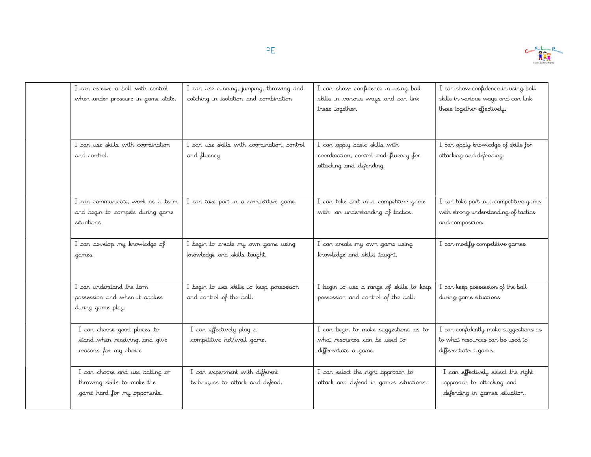

| I can receive a ball with control<br>when under pressure in game state.                       | I can use running, jumping, throwing and<br>catching in isolation and combination | I can show confidence in using ball<br>skills in various ways and can link<br>these together.     | I can show confidence in using ball<br>skills in various ways and can link<br>these together effectively. |
|-----------------------------------------------------------------------------------------------|-----------------------------------------------------------------------------------|---------------------------------------------------------------------------------------------------|-----------------------------------------------------------------------------------------------------------|
| I can use skills with coordination<br>and control.                                            | I can use skills with coordination, control<br>and fluency                        | I can apply basic skills with<br>coordination, control and fluency for<br>attacking and defending | I can apply knowledge of skills for<br>attacking and defending.                                           |
| I can communicate, work as a team<br>and begin to compete during game<br>situations           | I can take part in a competitive game.                                            | I can take part in a competitive game<br>with an understanding of tactics.                        | I can take part in a competitive game<br>with strong understanding of tactics<br>and composition.         |
| I can develop my knowledge of<br>games                                                        | I begin to create my own game using<br>knowledge and skills taught.               | I can create my own game using<br>knowledge and skills taught.                                    | I can modify competitive games.                                                                           |
| I can understand the term<br>possession and when it applies<br>during game play.              | I begin to use skills to keep possession<br>and control of the ball.              | I begin to use a range of skills to keep<br>possession and control of the ball.                   | I can keep possession of the ball<br>during game situations                                               |
| I can choose good places to<br>stand when receiving, and give<br>reasons for my choice        | I can effectively play a<br>competitive net/wall game.                            | I can begin to make suggestions as to<br>what resources can be used to<br>differentiate a game.   | I can confidently make suggestions as<br>to what resources can be used to<br>differentiate a game.        |
| I can choose and use batting or<br>throwing skills to make the<br>game hard for my opponents. | I can experiment with different<br>techniques to attack and defend.               | I can select the right approach to<br>attack and defend in games situations.                      | I can effectively select the right<br>approach to attacking and<br>defending in games situation.          |
|                                                                                               |                                                                                   |                                                                                                   |                                                                                                           |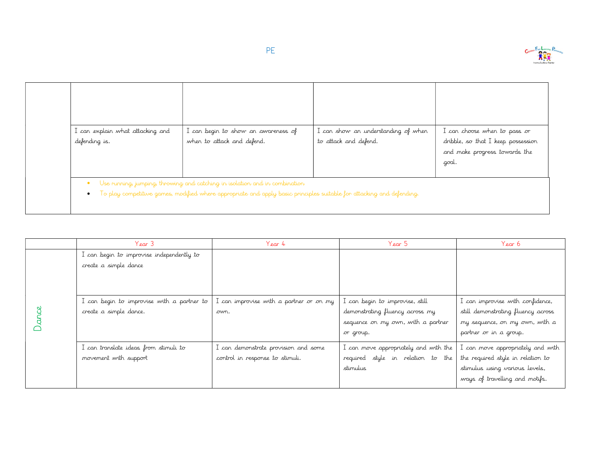

| I can explain what attacking and<br>defending is. | I can begin to show an awareness of<br>when to attack and defend. | I can show an understanding of when<br>to attack and defend. | I can choose when to pass or<br>dribble, so that I keep possession<br>and make progress towards the<br>.goal. |
|---------------------------------------------------|-------------------------------------------------------------------|--------------------------------------------------------------|---------------------------------------------------------------------------------------------------------------|

| Year 3                                                               | Year 4                                                                  | Year 5                                                                                                                | Year 6                                                                                                                                     |
|----------------------------------------------------------------------|-------------------------------------------------------------------------|-----------------------------------------------------------------------------------------------------------------------|--------------------------------------------------------------------------------------------------------------------------------------------|
| I can begin to improvise independently to<br>create a simple dance   |                                                                         |                                                                                                                       |                                                                                                                                            |
| I can begin to improvise with a partner to<br>create a simple dance. | I can improvise with a partner or on my<br>own.                         | I can begin to improvise, still<br>demonstrating fluency across my<br>sequence on my own, with a partner<br>or group. | I can improvise with confidence,<br>still demonstrating fluency across<br>my sequence, on my own, with a<br>partner or in a group.         |
| I can translate ideas from stimuli to<br>movement with support       | I can demonstrate provision and some<br>control in response to stimuli. | I can move appropriately and with the<br>required style in relation to the<br>stimulus                                | I can move appropriately and with<br>the required style in relation to<br>stimulus using various levels,<br>ways of travelling and motifs. |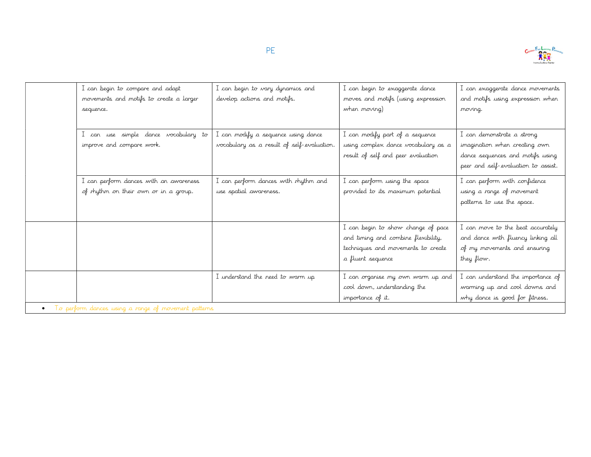

| I can begin to compare and adapt<br>movements and motifs to create a larger<br>sequence. | I can begin to vary dynamics and<br>develop actions and motifs.                   | I can begin to exaggerate dance<br>moves and motifs (using expression<br>when moving)                                                | I can exaggerate dance movements<br>and motifs using expression when<br>moving.                                                        |
|------------------------------------------------------------------------------------------|-----------------------------------------------------------------------------------|--------------------------------------------------------------------------------------------------------------------------------------|----------------------------------------------------------------------------------------------------------------------------------------|
| I can use simple dance vocabulary to<br>improve and compare work.                        | I can modify a sequence using dance<br>vocabulary as a result of self-evaluation. | I can modify part of a sequence<br>using complex dance vocabulary as a<br>result of self and peer evaluation                         | I can demonstrate a strong<br>imagination when creating own<br>dance sequences and motifs using<br>peer and self-evaluation to assist. |
| I can perform dances with an awareness<br>of rhythm on their own or in a group.          | I can perform dances with rhythm and<br>use spatial awareness.                    | I can perform using the space<br>provided to its maximum potential                                                                   | I can perform with confidence<br>using a range of movement<br>patterns to use the space.                                               |
|                                                                                          |                                                                                   | I can begin to show change of pace<br>and timing and combine flexibility,<br>techniques and movements to create<br>a fluent sequence | I can move to the beat accurately<br>and dance with fluency linking all<br>of my movements and ensuring<br>they flow.                  |
|                                                                                          | I understand the need to warm up                                                  | I can organise my own warm up and<br>cool down, understanding the<br>importance of it.                                               | I can understand the importance of<br>warming up and cool downs and<br>why dance is good for fitness.                                  |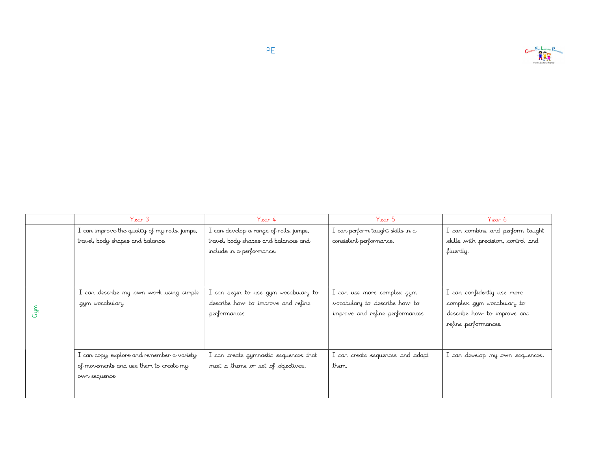

|              | Year 3<br>Year 4                              |                                        | Year 5                           | Year 6                             |
|--------------|-----------------------------------------------|----------------------------------------|----------------------------------|------------------------------------|
|              | I can improve the quality of my rolls, jumps, | I can develop a range of rolls, jumps, | . can perform taught skills in a | I can combine and perform taught   |
|              | travel, body shapes and balance.              | travel, body shapes and balances and   | consistent performance.          | skills with precision, control and |
|              |                                               | include in a performance.              |                                  | fluently.                          |
|              |                                               |                                        |                                  |                                    |
|              |                                               |                                        |                                  |                                    |
|              |                                               |                                        |                                  |                                    |
|              | I can describe my own work using simple       | I can begin to use gym vocabulary to   | I can use more complex gym       | I can confidently use more         |
|              | gym vocabulary                                | describe how to improve and refine     | vocabulary to describe how to    | complex gym vocabulary to          |
| <b>Cypre</b> |                                               | performances                           | improve and refine performances  | describe how to improve and        |
|              |                                               |                                        |                                  | refine performances                |
|              |                                               |                                        |                                  |                                    |
|              |                                               |                                        |                                  |                                    |
|              | I can copy, explore and remember a variety    | I can create gymnastic sequences that  | I can create sequences and adapt | I can develop my own sequences.    |
|              | of movements and use them to create my        | meet a theme or set of objectives.     | them.                            |                                    |
|              | own sequence                                  |                                        |                                  |                                    |
|              |                                               |                                        |                                  |                                    |
|              |                                               |                                        |                                  |                                    |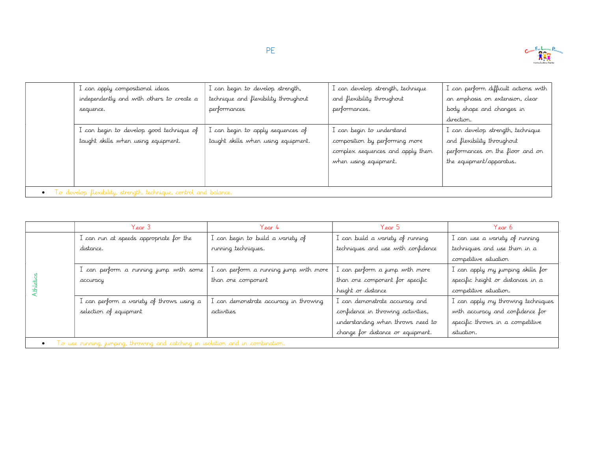

|                                                                   | I can apply compositional ideas           | I can begin to develop strength,     | I can develop strength, technique | I can perform difficult actions with |
|-------------------------------------------------------------------|-------------------------------------------|--------------------------------------|-----------------------------------|--------------------------------------|
|                                                                   | independently and with others to create a | technique and flexibility throughout | and flexibility throughout        | an emphasis on extension, clear      |
|                                                                   | sequence.                                 | performances                         | performances.                     | body shape and changes in            |
|                                                                   |                                           |                                      |                                   | direction.                           |
|                                                                   | I can begin to develop good technique of  | I can begin to apply sequences of    | I can begin to understand         | I can develop strength, technique    |
|                                                                   | taught skills when using equipment.       | taught skills when using equipment.  | composition by performing more    | and flexibility throughout           |
|                                                                   |                                           |                                      | complex sequences and apply them  | performances on the floor and on     |
|                                                                   |                                           |                                      | when using equipment.             | the equipment/apparatus.             |
|                                                                   |                                           |                                      |                                   |                                      |
|                                                                   |                                           |                                      |                                   |                                      |
| To develop flexibility, strength, technique, control and balance. |                                           |                                      |                                   |                                      |

|  | Year 3                                    | Year 4                                 | Year 5                             | Year 6                             |
|--|-------------------------------------------|----------------------------------------|------------------------------------|------------------------------------|
|  | I can run at speeds appropriate for the   | I can begin to build a variety of      | I can build a variety of running   | I can use a variety of running     |
|  | distance.                                 | running techniques.                    | techniques and use with confidence | techniques and use them in a       |
|  |                                           |                                        |                                    | competitive situation              |
|  | I can perform a running jump with some    | I can perform a running jump with more | I can perform a jump with more     | I can apply my jumping skills for  |
|  | accuracy                                  | than one component                     | than one component for specific    | specific height or distances in a  |
|  |                                           |                                        | height or distance                 | competitive situation.             |
|  | I can perform a variety of throws using a | can demonstrate accuracy in throwing.  | I can demonstrate accuracy and     | I can apply my throwing techniques |
|  | selection of equipment                    | activities                             | confidence in throwing activities, | with accuracy and confidence for   |
|  |                                           |                                        | understanding when throws need to  | specific throws in a competitive   |
|  |                                           |                                        | change for distance or equipment.  | situation.                         |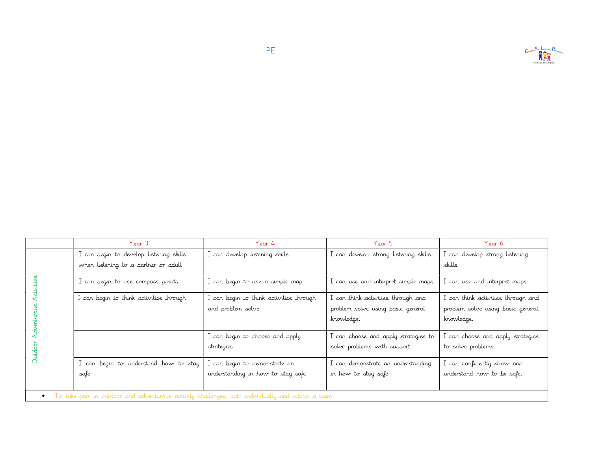

|                                                                                                   | Year 3                                  | Year 4                                                       | Year 5                                                                                | Year 6                                                                                |  |
|---------------------------------------------------------------------------------------------------|-----------------------------------------|--------------------------------------------------------------|---------------------------------------------------------------------------------------|---------------------------------------------------------------------------------------|--|
|                                                                                                   | I can begin to develop listening skills | I can develop listening skills                               | I can develop strong listening skills                                                 | I can develop strong listening                                                        |  |
|                                                                                                   | when listening to a partner or adult    |                                                              |                                                                                       | skills                                                                                |  |
|                                                                                                   | I can begin to use compass points       | I can begin to use a simple map                              | I can use and interpret simple maps                                                   | I can use and interpret maps                                                          |  |
|                                                                                                   | I can begin to think activities through | I can begin to think activities through<br>and problem solve | I can think activities through and<br>problem solve using basic general<br>knowledge. | I can think activities through and<br>problem solve using basic general<br>knowledge. |  |
|                                                                                                   |                                         | I can begin to choose and apply                              | I can choose and apply strategies to                                                  | I can choose and apply strategies                                                     |  |
|                                                                                                   |                                         | strategies                                                   | solve problems with support                                                           | to solve problems                                                                     |  |
|                                                                                                   | I can begin to understand how to stay   | I can begin to demonstrate an                                | I can demonstrate an understanding                                                    | I can confidently show and                                                            |  |
|                                                                                                   | safe                                    | understanding in how to stay safe                            | in how to stay safe                                                                   | understand how to be safe.                                                            |  |
| To take part in outdoor and adventurous activity challenges, both individually and within a team. |                                         |                                                              |                                                                                       |                                                                                       |  |